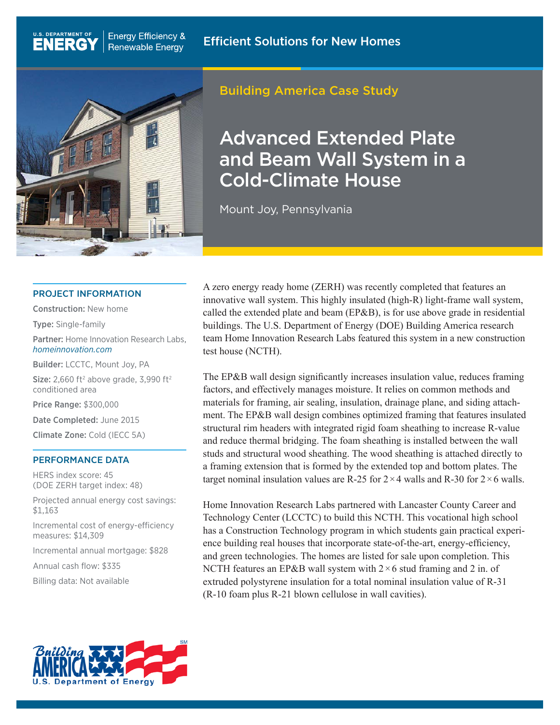

**Energy Efficiency &** 

**Renewable Energy** 

## Building America Case Study

# Advanced Extended Plate and Beam Wall System in a Cold-Climate House

Mount Joy, Pennsylvania

#### PROJECT INFORMATION

Construction: New home

Type: Single-family

U.S. DEPARTMENT OF

**ENERG** 

Partner: Home Innovation Research Labs, *[homeinnovation.com](http://homeinnovation.com)*

Builder: LCCTC, Mount Joy, PA

**Size:** 2,660 ft<sup>2</sup> above grade, 3,990 ft<sup>2</sup> conditioned area

Price Range: \$300,000

Date Completed: June 2015

Climate Zone: Cold (IECC 5A)

#### PERFORMANCE DATA

HERS index score: 45 (DOE ZERH target index: 48)

Projected annual energy cost savings: \$1,163

Incremental cost of energy-efficiency measures: \$14,309

Incremental annual mortgage: \$828

Annual cash flow: \$335

Billing data: Not available

A zero energy ready home (ZERH) was recently completed that features an innovative wall system. This highly insulated (high-R) light-frame wall system, called the extended plate and beam (EP&B), is for use above grade in residential buildings. The U.S. Department of Energy (DOE) Building America research team Home Innovation Research Labs featured this system in a new construction test house (NCTH).

The EP&B wall design significantly increases insulation value, reduces framing factors, and effectively manages moisture. It relies on common methods and materials for framing, air sealing, insulation, drainage plane, and siding attachment. The EP&B wall design combines optimized framing that features insulated structural rim headers with integrated rigid foam sheathing to increase R-value and reduce thermal bridging. The foam sheathing is installed between the wall studs and structural wood sheathing. The wood sheathing is attached directly to a framing extension that is formed by the extended top and bottom plates. The target nominal insulation values are R-25 for  $2 \times 4$  walls and R-30 for  $2 \times 6$  walls.

Home Innovation Research Labs partnered with Lancaster County Career and Technology Center (LCCTC) to build this NCTH. This vocational high school has a Construction Technology program in which students gain practical experience building real houses that incorporate state-of-the-art, energy-efficiency, and green technologies. The homes are listed for sale upon completion. This NCTH features an EP&B wall system with  $2 \times 6$  stud framing and 2 in. of extruded polystyrene insulation for a total nominal insulation value of R-31 (R-10 foam plus R-21 blown cellulose in wall cavities).